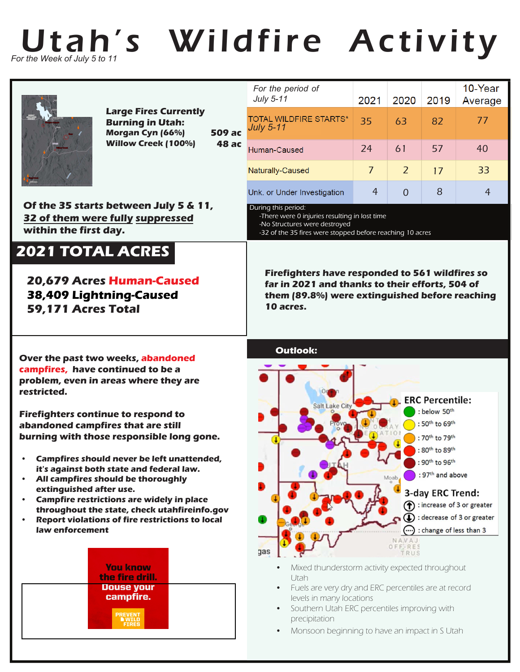

|                                                                                                                                                                                                                                                                                                                                                | <b>Large Fires Currently</b><br><b>Burning in Utah:</b><br>Morgan Cyn (66%)<br><b>Willow Creek (100%)</b> | <b>509 ac</b><br>48 ас | For the period of<br>July 5-11                                                                                                                                           | 2021           | 2020                                                                                                            | 2019                                                  | 10-Year<br>Average |
|------------------------------------------------------------------------------------------------------------------------------------------------------------------------------------------------------------------------------------------------------------------------------------------------------------------------------------------------|-----------------------------------------------------------------------------------------------------------|------------------------|--------------------------------------------------------------------------------------------------------------------------------------------------------------------------|----------------|-----------------------------------------------------------------------------------------------------------------|-------------------------------------------------------|--------------------|
|                                                                                                                                                                                                                                                                                                                                                |                                                                                                           |                        | <b>TOTAL WILDFIRE STARTS*</b><br><b>July 5-11</b>                                                                                                                        | 35             | 63                                                                                                              | 82                                                    | 77                 |
|                                                                                                                                                                                                                                                                                                                                                |                                                                                                           |                        | Human-Caused                                                                                                                                                             | 24             | 61                                                                                                              | 57                                                    | 40                 |
|                                                                                                                                                                                                                                                                                                                                                |                                                                                                           |                        | Naturally-Caused                                                                                                                                                         | $\overline{7}$ | $\overline{2}$                                                                                                  | 17                                                    | 33                 |
|                                                                                                                                                                                                                                                                                                                                                |                                                                                                           |                        | Unk. or Under Investigation                                                                                                                                              | 4              | $\Omega$                                                                                                        | 8                                                     | 4                  |
| Of the 35 starts between July 5 & 11,<br>32 of them were fully suppressed<br>within the first day.                                                                                                                                                                                                                                             |                                                                                                           |                        | During this period:<br>-There were 0 injuries resulting in lost time<br>-No Structures were destroyed<br>-32 of the 35 fires were stopped before reaching 10 acres       |                |                                                                                                                 |                                                       |                    |
| 2021 TOTAL ACRES<br><b>20,679 Acres Human-Caused</b><br>38,409 Lightning-Caused<br>59,171 Acres Total                                                                                                                                                                                                                                          |                                                                                                           |                        | <b>Firefighters have responded to 561 wildfires so</b><br>far in 2021 and thanks to their efforts, 504 of<br>them (89.8%) were extinguished before reaching<br>10 acres. |                |                                                                                                                 |                                                       |                    |
| Over the past two weeks, abandoned<br>campfires, have continued to be a                                                                                                                                                                                                                                                                        |                                                                                                           | <b>Outlook:</b>        |                                                                                                                                                                          |                |                                                                                                                 |                                                       |                    |
| problem, even in areas where they are<br>restricted.<br><b>Firefighters continue to respond to</b><br>abandoned campfires that are still<br>burning with those responsible long gone.                                                                                                                                                          |                                                                                                           |                        | <b>ERC Percentile:</b><br>Salt Lake City<br>: below 50th<br>: 50th to 69th<br>: 70 <sup>th</sup> to 79 <sup>th</sup>                                                     |                |                                                                                                                 |                                                       |                    |
| Campfires should never be left unattended,<br>it's against both state and federal law.<br>All campfires should be thoroughly<br>extinguished after use.<br><b>Campfire restrictions are widely in place</b><br>$\bullet$<br>throughout the state, check utahfireinfo.gov<br>Report violations of fire restrictions to local<br>law enforcement |                                                                                                           | D                      |                                                                                                                                                                          | Moab<br>()     | : 80th to 89th<br>: 90th to 96th<br>: 97 <sup>th</sup> and above<br>3-day ERC Trend:<br>: change of less than 3 | nerease of 3 or greater<br>: decrease of 3 or greater |                    |
|                                                                                                                                                                                                                                                                                                                                                | <b>You know</b><br>the fire drill.<br><b>Douse your</b><br>campfire.                                      |                        | gas<br>Mixed thunderstorm activity expected throughout<br>Utah<br>Fuels are very dry and ERC percentiles are at record<br>$\bullet$<br>levels in many locations          |                | NAVA <sub>1</sub><br>OFF-RES<br>FRUS                                                                            |                                                       |                    |

- Southern Utah ERC percentiles improving with precipitation
- Monsoon beginning to have an impact in S Utah

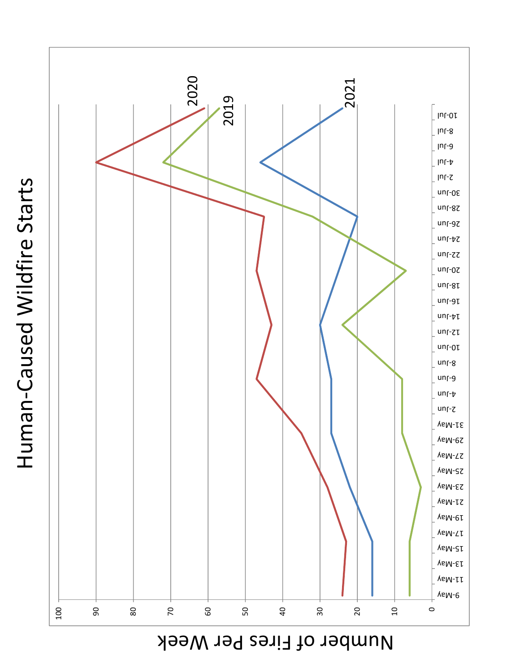Number of Fires Per Week